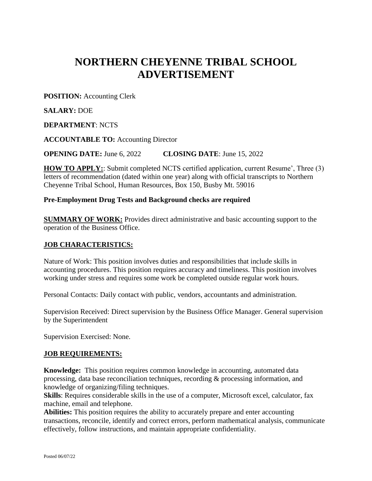# **NORTHERN CHEYENNE TRIBAL SCHOOL ADVERTISEMENT**

**POSITION:** Accounting Clerk

**SALARY:** DOE

## **DEPARTMENT**: NCTS

**ACCOUNTABLE TO:** Accounting Director

**OPENING DATE:** June 6, 2022 **CLOSING DATE**: June 15, 2022

**HOW TO APPLY:**: Submit completed NCTS certified application, current Resume', Three (3) letters of recommendation (dated within one year) along with official transcripts to Northern Cheyenne Tribal School, Human Resources, Box 150, Busby Mt. 59016

### **Pre-Employment Drug Tests and Background checks are required**

**SUMMARY OF WORK:** Provides direct administrative and basic accounting support to the operation of the Business Office.

# **JOB CHARACTERISTICS:**

Nature of Work: This position involves duties and responsibilities that include skills in accounting procedures. This position requires accuracy and timeliness. This position involves working under stress and requires some work be completed outside regular work hours.

Personal Contacts: Daily contact with public, vendors, accountants and administration.

Supervision Received: Direct supervision by the Business Office Manager. General supervision by the Superintendent

Supervision Exercised: None.

### **JOB REQUIREMENTS:**

**Knowledge:** This position requires common knowledge in accounting, automated data processing, data base reconciliation techniques, recording & processing information, and knowledge of organizing/filing techniques.

**Skills**: Requires considerable skills in the use of a computer, Microsoft excel, calculator, fax machine, email and telephone.

**Abilities:** This position requires the ability to accurately prepare and enter accounting transactions, reconcile, identify and correct errors, perform mathematical analysis, communicate effectively, follow instructions, and maintain appropriate confidentiality.